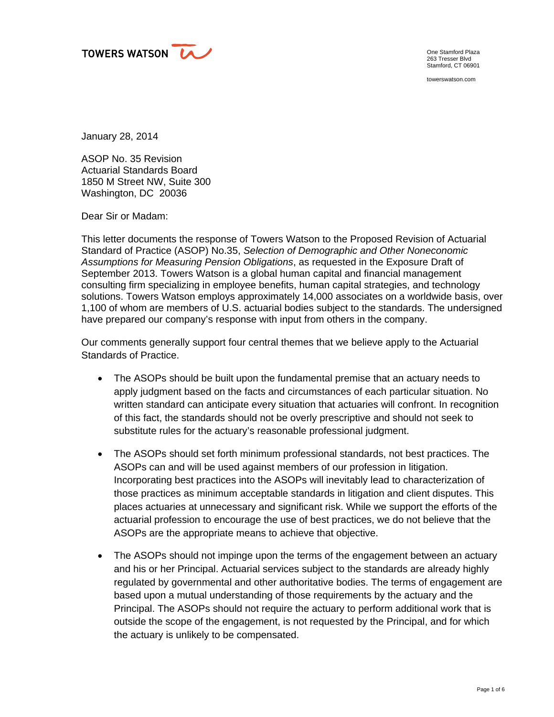

One Stamford Plaza 263 Tresser Blvd Stamford, CT 06901

towerswatson.com

January 28, 2014

ASOP No. 35 Revision Actuarial Standards Board 1850 M Street NW, Suite 300 Washington, DC 20036

Dear Sir or Madam:

This letter documents the response of Towers Watson to the Proposed Revision of Actuarial Standard of Practice (ASOP) No.35, *Selection of Demographic and Other Noneconomic Assumptions for Measuring Pension Obligations*, as requested in the Exposure Draft of September 2013. Towers Watson is a global human capital and financial management consulting firm specializing in employee benefits, human capital strategies, and technology solutions. Towers Watson employs approximately 14,000 associates on a worldwide basis, over 1,100 of whom are members of U.S. actuarial bodies subject to the standards. The undersigned have prepared our company's response with input from others in the company.

Our comments generally support four central themes that we believe apply to the Actuarial Standards of Practice.

- The ASOPs should be built upon the fundamental premise that an actuary needs to apply judgment based on the facts and circumstances of each particular situation. No written standard can anticipate every situation that actuaries will confront. In recognition of this fact, the standards should not be overly prescriptive and should not seek to substitute rules for the actuary's reasonable professional judgment.
- The ASOPs should set forth minimum professional standards, not best practices. The ASOPs can and will be used against members of our profession in litigation. Incorporating best practices into the ASOPs will inevitably lead to characterization of those practices as minimum acceptable standards in litigation and client disputes. This places actuaries at unnecessary and significant risk. While we support the efforts of the actuarial profession to encourage the use of best practices, we do not believe that the ASOPs are the appropriate means to achieve that objective.
- The ASOPs should not impinge upon the terms of the engagement between an actuary and his or her Principal. Actuarial services subject to the standards are already highly regulated by governmental and other authoritative bodies. The terms of engagement are based upon a mutual understanding of those requirements by the actuary and the Principal. The ASOPs should not require the actuary to perform additional work that is outside the scope of the engagement, is not requested by the Principal, and for which the actuary is unlikely to be compensated.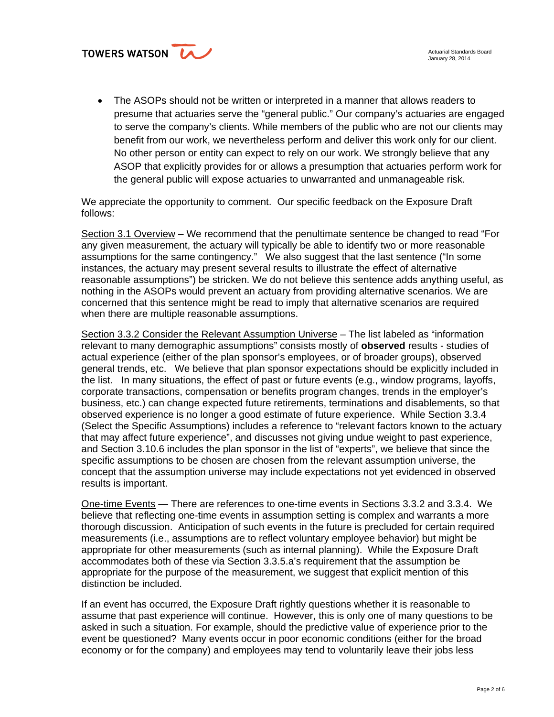## TOWERS WATSON

 The ASOPs should not be written or interpreted in a manner that allows readers to presume that actuaries serve the "general public." Our company's actuaries are engaged to serve the company's clients. While members of the public who are not our clients may benefit from our work, we nevertheless perform and deliver this work only for our client. No other person or entity can expect to rely on our work. We strongly believe that any ASOP that explicitly provides for or allows a presumption that actuaries perform work for the general public will expose actuaries to unwarranted and unmanageable risk.

We appreciate the opportunity to comment. Our specific feedback on the Exposure Draft follows:

Section 3.1 Overview – We recommend that the penultimate sentence be changed to read "For any given measurement, the actuary will typically be able to identify two or more reasonable assumptions for the same contingency." We also suggest that the last sentence ("In some instances, the actuary may present several results to illustrate the effect of alternative reasonable assumptions") be stricken. We do not believe this sentence adds anything useful, as nothing in the ASOPs would prevent an actuary from providing alternative scenarios. We are concerned that this sentence might be read to imply that alternative scenarios are required when there are multiple reasonable assumptions.

Section 3.3.2 Consider the Relevant Assumption Universe – The list labeled as "information relevant to many demographic assumptions" consists mostly of **observed** results - studies of actual experience (either of the plan sponsor's employees, or of broader groups), observed general trends, etc. We believe that plan sponsor expectations should be explicitly included in the list. In many situations, the effect of past or future events (e.g., window programs, layoffs, corporate transactions, compensation or benefits program changes, trends in the employer's business, etc.) can change expected future retirements, terminations and disablements, so that observed experience is no longer a good estimate of future experience. While Section 3.3.4 (Select the Specific Assumptions) includes a reference to "relevant factors known to the actuary that may affect future experience", and discusses not giving undue weight to past experience, and Section 3.10.6 includes the plan sponsor in the list of "experts", we believe that since the specific assumptions to be chosen are chosen from the relevant assumption universe, the concept that the assumption universe may include expectations not yet evidenced in observed results is important.

One-time Events — There are references to one-time events in Sections 3.3.2 and 3.3.4. We believe that reflecting one-time events in assumption setting is complex and warrants a more thorough discussion. Anticipation of such events in the future is precluded for certain required measurements (i.e., assumptions are to reflect voluntary employee behavior) but might be appropriate for other measurements (such as internal planning). While the Exposure Draft accommodates both of these via Section 3.3.5.a's requirement that the assumption be appropriate for the purpose of the measurement, we suggest that explicit mention of this distinction be included.

If an event has occurred, the Exposure Draft rightly questions whether it is reasonable to assume that past experience will continue. However, this is only one of many questions to be asked in such a situation. For example, should the predictive value of experience prior to the event be questioned? Many events occur in poor economic conditions (either for the broad economy or for the company) and employees may tend to voluntarily leave their jobs less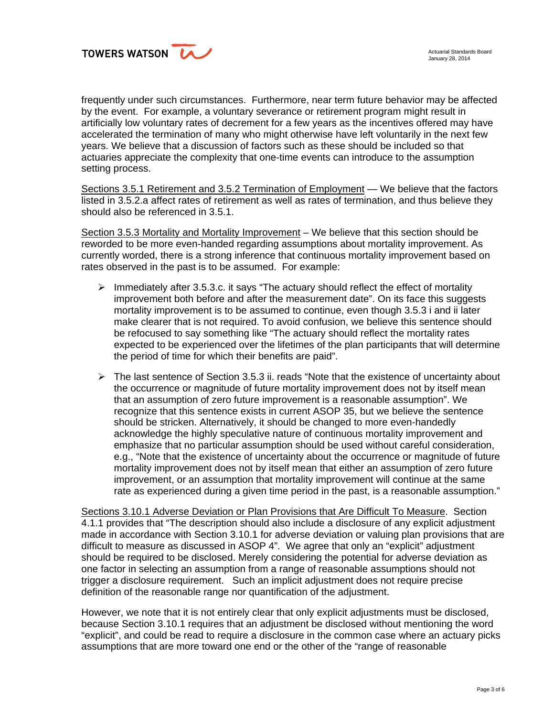

frequently under such circumstances. Furthermore, near term future behavior may be affected by the event. For example, a voluntary severance or retirement program might result in artificially low voluntary rates of decrement for a few years as the incentives offered may have accelerated the termination of many who might otherwise have left voluntarily in the next few years. We believe that a discussion of factors such as these should be included so that actuaries appreciate the complexity that one-time events can introduce to the assumption setting process.

Sections 3.5.1 Retirement and 3.5.2 Termination of Employment — We believe that the factors listed in 3.5.2.a affect rates of retirement as well as rates of termination, and thus believe they should also be referenced in 3.5.1.

Section 3.5.3 Mortality and Mortality Improvement – We believe that this section should be reworded to be more even-handed regarding assumptions about mortality improvement. As currently worded, there is a strong inference that continuous mortality improvement based on rates observed in the past is to be assumed. For example:

- $\triangleright$  Immediately after 3.5.3.c. it says "The actuary should reflect the effect of mortality improvement both before and after the measurement date". On its face this suggests mortality improvement is to be assumed to continue, even though 3.5.3 i and ii later make clearer that is not required. To avoid confusion, we believe this sentence should be refocused to say something like "The actuary should reflect the mortality rates expected to be experienced over the lifetimes of the plan participants that will determine the period of time for which their benefits are paid".
- $\triangleright$  The last sentence of Section 3.5.3 ii. reads "Note that the existence of uncertainty about the occurrence or magnitude of future mortality improvement does not by itself mean that an assumption of zero future improvement is a reasonable assumption". We recognize that this sentence exists in current ASOP 35, but we believe the sentence should be stricken. Alternatively, it should be changed to more even-handedly acknowledge the highly speculative nature of continuous mortality improvement and emphasize that no particular assumption should be used without careful consideration, e.g., "Note that the existence of uncertainty about the occurrence or magnitude of future mortality improvement does not by itself mean that either an assumption of zero future improvement, or an assumption that mortality improvement will continue at the same rate as experienced during a given time period in the past, is a reasonable assumption."

Sections 3.10.1 Adverse Deviation or Plan Provisions that Are Difficult To Measure. Section 4.1.1 provides that "The description should also include a disclosure of any explicit adjustment made in accordance with Section 3.10.1 for adverse deviation or valuing plan provisions that are difficult to measure as discussed in ASOP 4". We agree that only an "explicit" adjustment should be required to be disclosed. Merely considering the potential for adverse deviation as one factor in selecting an assumption from a range of reasonable assumptions should not trigger a disclosure requirement. Such an implicit adjustment does not require precise definition of the reasonable range nor quantification of the adjustment.

However, we note that it is not entirely clear that only explicit adjustments must be disclosed, because Section 3.10.1 requires that an adjustment be disclosed without mentioning the word "explicit", and could be read to require a disclosure in the common case where an actuary picks assumptions that are more toward one end or the other of the "range of reasonable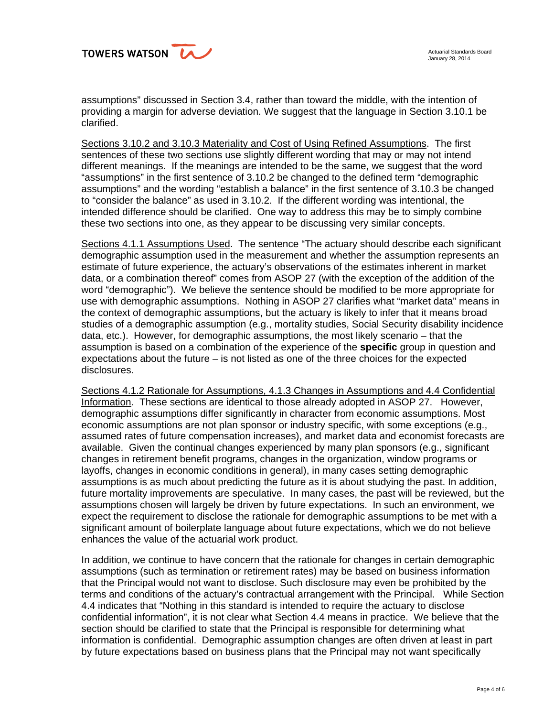

assumptions" discussed in Section 3.4, rather than toward the middle, with the intention of providing a margin for adverse deviation. We suggest that the language in Section 3.10.1 be clarified.

Sections 3.10.2 and 3.10.3 Materiality and Cost of Using Refined Assumptions. The first sentences of these two sections use slightly different wording that may or may not intend different meanings. If the meanings are intended to be the same, we suggest that the word "assumptions" in the first sentence of 3.10.2 be changed to the defined term "demographic assumptions" and the wording "establish a balance" in the first sentence of 3.10.3 be changed to "consider the balance" as used in 3.10.2. If the different wording was intentional, the intended difference should be clarified. One way to address this may be to simply combine these two sections into one, as they appear to be discussing very similar concepts.

Sections 4.1.1 Assumptions Used. The sentence "The actuary should describe each significant demographic assumption used in the measurement and whether the assumption represents an estimate of future experience, the actuary's observations of the estimates inherent in market data, or a combination thereof" comes from ASOP 27 (with the exception of the addition of the word "demographic"). We believe the sentence should be modified to be more appropriate for use with demographic assumptions. Nothing in ASOP 27 clarifies what "market data" means in the context of demographic assumptions, but the actuary is likely to infer that it means broad studies of a demographic assumption (e.g., mortality studies, Social Security disability incidence data, etc.). However, for demographic assumptions, the most likely scenario – that the assumption is based on a combination of the experience of the **specific** group in question and expectations about the future – is not listed as one of the three choices for the expected disclosures.

Sections 4.1.2 Rationale for Assumptions, 4.1.3 Changes in Assumptions and 4.4 Confidential Information. These sections are identical to those already adopted in ASOP 27. However, demographic assumptions differ significantly in character from economic assumptions. Most economic assumptions are not plan sponsor or industry specific, with some exceptions (e.g., assumed rates of future compensation increases), and market data and economist forecasts are available. Given the continual changes experienced by many plan sponsors (e.g., significant changes in retirement benefit programs, changes in the organization, window programs or layoffs, changes in economic conditions in general), in many cases setting demographic assumptions is as much about predicting the future as it is about studying the past. In addition, future mortality improvements are speculative. In many cases, the past will be reviewed, but the assumptions chosen will largely be driven by future expectations. In such an environment, we expect the requirement to disclose the rationale for demographic assumptions to be met with a significant amount of boilerplate language about future expectations, which we do not believe enhances the value of the actuarial work product.

In addition, we continue to have concern that the rationale for changes in certain demographic assumptions (such as termination or retirement rates) may be based on business information that the Principal would not want to disclose. Such disclosure may even be prohibited by the terms and conditions of the actuary's contractual arrangement with the Principal. While Section 4.4 indicates that "Nothing in this standard is intended to require the actuary to disclose confidential information", it is not clear what Section 4.4 means in practice. We believe that the section should be clarified to state that the Principal is responsible for determining what information is confidential. Demographic assumption changes are often driven at least in part by future expectations based on business plans that the Principal may not want specifically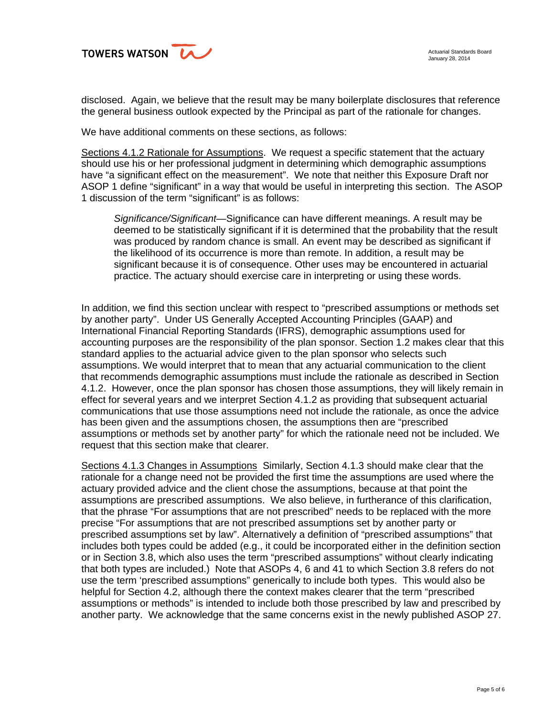

disclosed. Again, we believe that the result may be many boilerplate disclosures that reference the general business outlook expected by the Principal as part of the rationale for changes.

We have additional comments on these sections, as follows:

Sections 4.1.2 Rationale for Assumptions. We request a specific statement that the actuary should use his or her professional judgment in determining which demographic assumptions have "a significant effect on the measurement". We note that neither this Exposure Draft nor ASOP 1 define "significant" in a way that would be useful in interpreting this section. The ASOP 1 discussion of the term "significant" is as follows:

*Significance/Significant—*Significance can have different meanings. A result may be deemed to be statistically significant if it is determined that the probability that the result was produced by random chance is small. An event may be described as significant if the likelihood of its occurrence is more than remote. In addition, a result may be significant because it is of consequence. Other uses may be encountered in actuarial practice. The actuary should exercise care in interpreting or using these words.

In addition, we find this section unclear with respect to "prescribed assumptions or methods set by another party". Under US Generally Accepted Accounting Principles (GAAP) and International Financial Reporting Standards (IFRS), demographic assumptions used for accounting purposes are the responsibility of the plan sponsor. Section 1.2 makes clear that this standard applies to the actuarial advice given to the plan sponsor who selects such assumptions. We would interpret that to mean that any actuarial communication to the client that recommends demographic assumptions must include the rationale as described in Section 4.1.2. However, once the plan sponsor has chosen those assumptions, they will likely remain in effect for several years and we interpret Section 4.1.2 as providing that subsequent actuarial communications that use those assumptions need not include the rationale, as once the advice has been given and the assumptions chosen, the assumptions then are "prescribed assumptions or methods set by another party" for which the rationale need not be included. We request that this section make that clearer.

Sections 4.1.3 Changes in Assumptions Similarly, Section 4.1.3 should make clear that the rationale for a change need not be provided the first time the assumptions are used where the actuary provided advice and the client chose the assumptions, because at that point the assumptions are prescribed assumptions. We also believe, in furtherance of this clarification, that the phrase "For assumptions that are not prescribed" needs to be replaced with the more precise "For assumptions that are not prescribed assumptions set by another party or prescribed assumptions set by law". Alternatively a definition of "prescribed assumptions" that includes both types could be added (e.g., it could be incorporated either in the definition section or in Section 3.8, which also uses the term "prescribed assumptions" without clearly indicating that both types are included.) Note that ASOPs 4, 6 and 41 to which Section 3.8 refers do not use the term 'prescribed assumptions" generically to include both types. This would also be helpful for Section 4.2, although there the context makes clearer that the term "prescribed assumptions or methods" is intended to include both those prescribed by law and prescribed by another party. We acknowledge that the same concerns exist in the newly published ASOP 27.